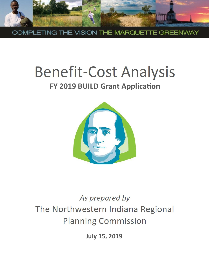

COMPLETING THE VISION THE MARQUETTE GREENWAY

# **Benefit-Cost Analysis**

### **FY 2019 BUILD Grant Application**



## As prepared by The Northwestern Indiana Regional **Planning Commission**

**July 15, 2019**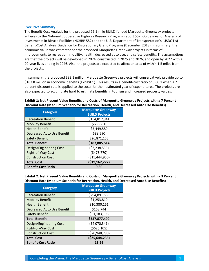#### **Executive Summary**

The Benefit-Cost Analysis for the proposed 29.1-mile BUILD-funded Marquette Greenway projects adheres to the National Cooperative Highway Research Program Report 552: Guidelines for Analysis of Investments in Bicycle Facilities (NCHRP 552) and the U.S. Department of Transportation's (USDOT's) Benefit-Cost Analysis Guidance for Discretionary Grant Programs (December 2018). In summary, the economic value was estimated for the proposed Marquette Greenway projects in terms of improvements to recreation, mobility, health, decreased auto use, and safety benefits. The assumptions are that the projects will be developed in 2024, constructed in 2025 and 2026, and open by 2027 with a 20-year lives ending in 2046. Also, the projects are expected to affect an area of within 1.5 miles from the projects.

In summary, the proposed \$32.1 million Marquette Greenway projects will conservatively provide up to \$187.8 million in economic benefits (Exhibit 1). This results in a benefit-cost ratio of 9.80:1 when a 7 percent discount rate is applied to the costs for their estimated year of expenditures. The projects are also expected to accumulate hard to estimate benefits in tourism and increased property values.

| Procount nate (incurant occitation) necreation, fically, and De |                                                    |
|-----------------------------------------------------------------|----------------------------------------------------|
| <b>Category</b>                                                 | <b>Marquette Greenway</b><br><b>BUILD Projects</b> |
| <b>Recreation Benefit</b>                                       | \$154,817,941                                      |
| <b>Mobility Benefit</b>                                         | \$658,250                                          |
| <b>Health Benefit</b>                                           | \$5,449,580                                        |
| <b>Decreased Auto Use Benefit</b>                               | \$88,590                                           |
| <b>Safety Benefit</b>                                           | \$26,871,153                                       |
| <b>Total Benefit</b>                                            | \$187,885,514                                      |
| Design/Engineering Cost                                         | ( \$3,238,556)                                     |
| Right-of-Way Cost                                               | (\$478,770)                                        |
| <b>Construction Cost</b>                                        | ( \$15,444,950)                                    |
| <b>Total Cost</b>                                               | (\$19,162,277)                                     |
| <b>Benefit-Cost Ratio</b>                                       | 9.80                                               |

**Exhibit 1: Net Present Value Benefits and Costs of Marquette Greenway Projects with a 7 Percent Discount Rate (Medium Scenario for Recreation, Health, and Decreased Auto Use Benefits)**

**Exhibit 2: Net Present Value Benefits and Costs of Marquette Greenway Projects with a 3 Percent Discount Rate (Medium Scenario for Recreation, Health, and Decreased Auto Use Benefits)**

| <b>Category</b>                | <b>Marquette Greenway</b><br><b>BUILD Projects</b> |
|--------------------------------|----------------------------------------------------|
| <b>Recreation Benefit</b>      | \$294,891,588                                      |
| <b>Mobility Benefit</b>        | \$1,253,810                                        |
| <b>Health Benefit</b>          | \$10,380,161                                       |
| Decreased Auto Use Benefit     | \$168,744                                          |
| <b>Safety Benefit</b>          | \$51,183,196                                       |
| <b>Total Benefit</b>           | \$357,877,499                                      |
| <b>Design/Engineering Cost</b> | (\$4,070,341)                                      |
| Right-of-Way Cost              | ( \$625, 105)                                      |
| <b>Construction Cost</b>       | ( \$20,948,790)                                    |
| <b>Total Cost</b>              | ( \$25,644,235)                                    |
| <b>Benefit-Cost Ratio</b>      | 13.96                                              |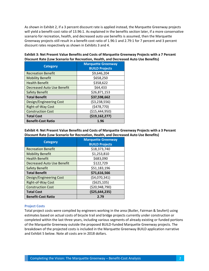As shown in Exhibit 2, if a 3 percent discount rate is applied instead, the Marquette Greenway projects will yield a benefit-cost ratio of 13.96:1. As explained in the benefits section later, if a more conservative scenario for recreation, health, and decreased auto use benefits is assumed, then the Marquette Greenway projects still result in a benefit-cost ratio of 1.96:1 and 2.79:1 for 7 percent and 3 percent discount rates respectively as shown in Exhibits 3 and 4.

| Exhibit 3: Net Present Value Benefits and Costs of Marquette Greenway Projects with a 7 Percent |
|-------------------------------------------------------------------------------------------------|
| Discount Rate (Low Scenario for Recreation, Health, and Decreased Auto Use Benefits)            |

| <b>Category</b>            | <b>Marquette Greenway</b><br><b>BUILD Projects</b> |
|----------------------------|----------------------------------------------------|
| <b>Recreation Benefit</b>  | \$9,646,204                                        |
| <b>Mobility Benefit</b>    | \$658,250                                          |
| <b>Health Benefit</b>      | \$358,622                                          |
| Decreased Auto Use Benefit | \$64,433                                           |
| <b>Safety Benefit</b>      | \$26,871,153                                       |
| <b>Total Benefit</b>       | \$37,598,662                                       |
| Design/Engineering Cost    | ( \$3,238,556)                                     |
| Right-of-Way Cost          | (5478, 770)                                        |
| <b>Construction Cost</b>   | ( \$15,444,950)                                    |
| <b>Total Cost</b>          | ( \$19, 162, 277)                                  |
| <b>Benefit-Cost Ratio</b>  | 1.96                                               |

**Exhibit 4: Net Present Value Benefits and Costs of Marquette Greenway Projects with a 3 Percent Discount Rate (Low Scenario for Recreation, Health, and Decreased Auto Use Benefits)**

| <b>Category</b>            | <b>Marquette Greenway</b><br><b>BUILD Projects</b> |
|----------------------------|----------------------------------------------------|
| <b>Recreation Benefit</b>  | \$18,373,740                                       |
| <b>Mobility Benefit</b>    | \$1,253,810                                        |
| <b>Health Benefit</b>      | \$683,090                                          |
| Decreased Auto Use Benefit | \$122,729                                          |
| <b>Safety Benefit</b>      | \$51,183,196                                       |
| <b>Total Benefit</b>       | \$71,616,566                                       |
| Design/Engineering Cost    | (54,070,341)                                       |
| Right-of-Way Cost          | ( \$625, 105)                                      |
| <b>Construction Cost</b>   | ( \$20,948,790)                                    |
| <b>Total Cost</b>          | ( \$25,644,235)                                    |
| <b>Benefit-Cost Ratio</b>  | 2.79                                               |

#### **Project Costs**

Total project costs were compiled by engineers working in the area (Butler, Fairman & Seufert) using estimates based on actual costs of bicycle trail and bridge projects currently under construction or completed within the last three years, including various segments of already existing or funded portions of the Marquette Greenway outside the proposed BUILD-funded Marquette Greenway projects. The breakdown of the projected costs is included in the Marquette Greenway BUILD application narrative and Exhibit 5 below. Note all costs are in 2018 dollars.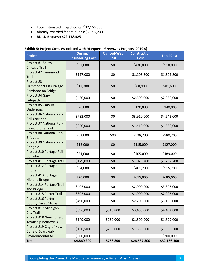- Total Estimated Project Costs: \$32,166,300
- Already awarded federal funds: \$2,595,200
- **BUILD Request: \$22,178,325**

| <b>Project</b>                                                   | Design/<br><b>Engineering Cost</b> | <b>Right-of-Way</b><br><b>Cost</b> | <b>Construction</b><br><b>Cost</b> | <b>Total Cost</b> |
|------------------------------------------------------------------|------------------------------------|------------------------------------|------------------------------------|-------------------|
| Project #1 South<br><b>Chicago Trail</b>                         | \$82,000                           | \$0                                | \$436,000                          | \$518,000         |
| Project #2 Hammond<br><b>Trail</b>                               | \$197,000                          | \$0                                | \$1,108,800                        | \$1,305,800       |
| Project #3<br>Hammond/East Chicago<br><b>Barricade on Bridge</b> | \$12,700                           | \$0                                | \$68,900                           | \$81,600          |
| Project #4 Gary<br>Sidepath                                      | \$460,000                          | \$0                                | \$2,500,000                        | \$2,960,000       |
| Project #5 Gary Rail<br>Underpass                                | \$20,000                           | \$0                                | \$120,000                          | \$140,000         |
| Project #6 National Park<br><b>Rail Corridor</b>                 | \$732,000                          | \$0                                | \$3,910,000                        | \$4,642,000       |
| Project #7 National Park<br><b>Paved Stone Trail</b>             | \$250,000                          | \$0                                | \$1,410,000                        | \$1,660,000       |
| Project #8 National Park<br>Bridge 1                             | \$52,000                           | \$00                               | \$528,700                          | \$580,700         |
| Project #9 National Park<br><b>Bridge 2</b>                      | \$12,000                           | \$0                                | \$115,000                          | \$127,000         |
| Project #10 Portage Rail<br>Corridor                             | \$84,000                           | \$0                                | \$405,000                          | \$489,000         |
| Project #11 Portage Trail                                        | \$179,000                          | \$0                                | \$1,023,700                        | \$1,202,700       |
| Project #12 Portage<br><b>Bridge</b>                             | \$54,000                           | \$0                                | \$461,200                          | \$515,200         |
| Project #13 Portage<br><b>Historic Bridge</b>                    | \$70,000                           | \$0                                | \$615,000                          | \$685,000         |
| Project #14 Portage Trail<br>and Bridge                          | \$495,000                          | \$0                                | \$2,900,000                        | \$3,395,000       |
| Project #15 Porter Trail                                         | \$395,000                          | \$0                                | \$1,900,000                        | \$2,295,000       |
| Project #16 Porter<br><b>County Paved Stone</b>                  | \$490,000                          | \$0                                | \$2,700,000                        | \$3,190,000       |
| Project #17 Michigan<br><b>City Trail</b>                        | \$696,000                          | \$318,800                          | \$3,480,000                        | \$4,494,800       |
| Project #18 New Buffalo<br><b>Township Boardwalk</b>             | \$149,000                          | \$250,000                          | \$1,500,000                        | \$1,899,000       |
| Project #19 City of New<br><b>Buffalo Boardwalk</b>              | \$130,500                          | \$200,000                          | \$1,355,000                        | \$1,685,500       |
| <b>Environmental All</b>                                         | \$300,000                          |                                    |                                    | \$300,000         |
| <b>Total</b>                                                     | \$4,860,200                        | \$768,800                          | \$26,537,300                       | \$32,166,300      |

#### **Exhibit 5: Project Costs Associated with Marquette Greenway Projects (2019 \$)**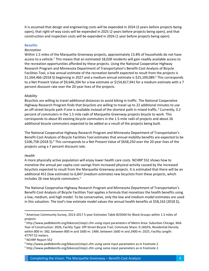It is assumed that design and engineering costs will be expended in 2024 (3 years before projects being open), that right-of-way costs will be expended in 2025 (2 years before projects being open), and that construction and inspection costs will be expended in 2026 (1 year before projects being open).

#### **Benefits**

#### *Recreation*

Within 1.5 miles of the Marquette Greenway projects, approximately 13.8% of households do not have access to a vehicle.<sup>1</sup> This means that an estimated 18,028 residents will gain readily available access to the recreation opportunities afforded by these projects. Using the National Cooperative Highway Research Program and Minnesota Department of Transportation's Benefit-Cost Analysis of Bicycle Facilities Tool, a low annual estimate of the recreation benefit expected to result from the projects is \$1,564,466 (2018 \$) beginning in 2027 and a medium annual estimate is \$25,109,089.<sup>2</sup> This corresponds to a Net Present Value of \$9,646,204 for a low estimate or \$154,817,941 for a medium estimate with a 7 percent discount rate over the 20-year lives of the projects.

#### *Mobility*

Bicyclists are willing to travel additional distances to avoid biking in traffic. The National Cooperative Highway Research Program finds that bicyclists are willing to travel up to 22 additional minutes to use an off-street bicycle path if one is available instead of the shortest path in mixed traffic.<sup>3</sup> Currently, 0.2 percent of commuters in the 1.5 mile radii of Marquette Greenway projects bicycle to work. This corresponds to about 85 existing bicycle commuters in the 1.5-mile radii of projects and about 26 additional bicycle commuters expected to be added as a result of the projects being built.

The National Cooperative Highway Research Program and Minnesota Department of Transportation's Benefit-Cost Analysis of Bicycle Facilities Tool estimates that annual mobility benefits are expected to be \$106,758 (2018 \$). <sup>4</sup> This corresponds to a Net Present Value of \$658,250 over the 20-year lives of the projects using a 7 percent discount rate.

#### *Health*

 $\overline{\phantom{a}}$ 

A more physically active population will enjoy lower health care costs. NCHRP 552 shows how to monetize the annual per-capita cost savings from increased physical activity caused by the increased bicyclists expected to result from the Marquette Greenway projects. It is estimated that there will be an additional 451 (low estimate) to 6,847 (medium estimate) new bicyclists from these projects, which includes 26 new bicycle commuters.<sup>5</sup>

The National Cooperative Highway Research Program and Minnesota Department of Transportation's Benefit-Cost Analysis of Bicycle Facilities Tool applies a formula that monetizes the health benefits using a low, medium, and high model. To be conservative, only the low and medium model estimates are used in this valuation. The tool's low estimate model values the annual health benefits at \$58,163 (2018 \$),

<sup>1</sup> American Community Survey, 2013-2017 5-year Estimates Table B25044 for Block Groups within 1.5 miles of projects

<sup>2</sup> http://www.pedbikeinfo.org/bikecost/step1.cfm using input parameters of Metro Area: Suburban Chicago, Mid-Year of Construction: 2026, Facility Type: Off-Street Bicycle Trail, Commute Share: 0.1602%, Residential Density within 800 m: 582, between 800 m and 1600 m: 1484, between 1600 m and 2400 m: 2025, Facility Length: 47797.52 meters.

<sup>&</sup>lt;sup>3</sup> NCHRP Report 552

<sup>4</sup> http://www.pedbikeinfo.org/bikecost/step1.cfm using same input parameters as in Footnote 2.

<sup>5</sup> http://www.pedbikeinfo.org/bikecost/step1.cfm using same input parameters as in Footnote 2.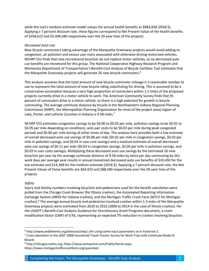while the tool's medium estimate model values the annual health benefits at \$883,838 (2018 \$). Applying a 7 percent discount rate, these figures correspond to Net Present Value of the health benefits of \$358,622 and \$5,449,580 respectively over the 20-year lives of the projects.

#### *Decreased Auto Use*

New bicycle commuters taking advantage of the Marquette Greenway projects would avoid adding to congestion, air pollution and excess user costs associated with otherwise driving motorized vehicles. NCHRP 552 finds that new recreational bicyclists do not replace motor vehicles, so no decreased auto use benefits are monetized for this group. The National Cooperative Highway Research Program and Minnesota Department of Transportation's Benefit-Cost Analysis of Bicycle Facilities Tool estimates that the Marquette Greenway projects will generate 26 new bicycle commuters.<sup>6</sup>

This analysis assumes that the total amount of new bicycle commuter mileage is a reasonable number to use to represent the total amount of now bicycle riding substituting for driving. This is assumed to be a conservative assumption because a very high proportion of commuters within 1.5 miles of the proposed projects currently drive in a motor vehicle to work. The American Community Survey finds that 91 percent of commuters drive in a motor vehicle, so there is a high potential for growth in bicycle commuting. The average commute distance by bicycle in the Northwestern Indiana Regional Planning Commission (NIRPC, the Metropolitan Planning Organization for most of the project area) region of Lake, Porter, and LaPorte Counties in Indiana is 9.58 miles.<sup>7</sup>

NCHRP 552 estimates congestion savings to be \$0.00 to \$0.05 per mile, pollution savings to be \$0.01 to \$0.05 per mile depending on conditions, and user costs to be \$0.03 per mile during peak congested periods and \$0.00 per mile during all other times of day. The analysis here provides both a low estimate of overall decreased auto use savings of \$0.08 per mile (\$0.02 per mile in congestion savings, \$0.03 per mile in pollution savings, and \$0.03 in user cost savings) and a medium estimate of overall decreased auto use savings of \$0.11 per mile (\$0.03 in congestion savings, \$0.05 per mile in pollution savings, and \$0.03 in user costs savings). Multiplying these decreased auto use savings by the estimated 26 new bicyclists per year by the average commute distance of 9.58 miles by twice per day commuting by 261 work days per average year results in annual monetized decreased auto use benefits of \$10,450 for the low estimate and \$14,368 for the medium estimate (2018 \$). Applying a 7 percent discount rate, the Net Present Values of these benefits are \$64,433 and \$88,590 respectively over the 20-year lives of the projects.

#### *Safety*

 $\overline{\phantom{a}}$ 

Injury and fatality numbers involving bicyclists and pedestrians used for the benefit calculation were pulled from the Chicago Crash Browser (for Illinois crashes), the Automated Reporting Information Exchange System (ARIES for Indiana crashes), and the Michigan Traffic Crash Facts (MTCF for Michigan crashes).<sup>8</sup> The average annual bicycle and pedestrian-involved crashes within 1.5 miles of the Marquette Greenway projects were estimated from 2010 to 2016 (2009 to 2014 in the case of Illinois crashes). Per the USDOT's Benefit-Cost Analysis Guidance for Discretionary Grant Programs document, a crash modification factor (CMF) of 0.93, representing an expected 7% reduction in crashes involving bicyclists

<sup>6</sup> http://www.pedbikeinfo.org/bikecost/step1.cfm using same input parameters as in Footnote 2.

 $7$  Cross-tabulation in the 2007-2008 Household Travel Tracker Survey for Work Trips with Commute Mode of Bicycle

<sup>8</sup> http://chicagocrashes.org; https://www.ariesportal.com/Public/Home.aspx; https://www.michigantrafficcrashfacts.org/querytool